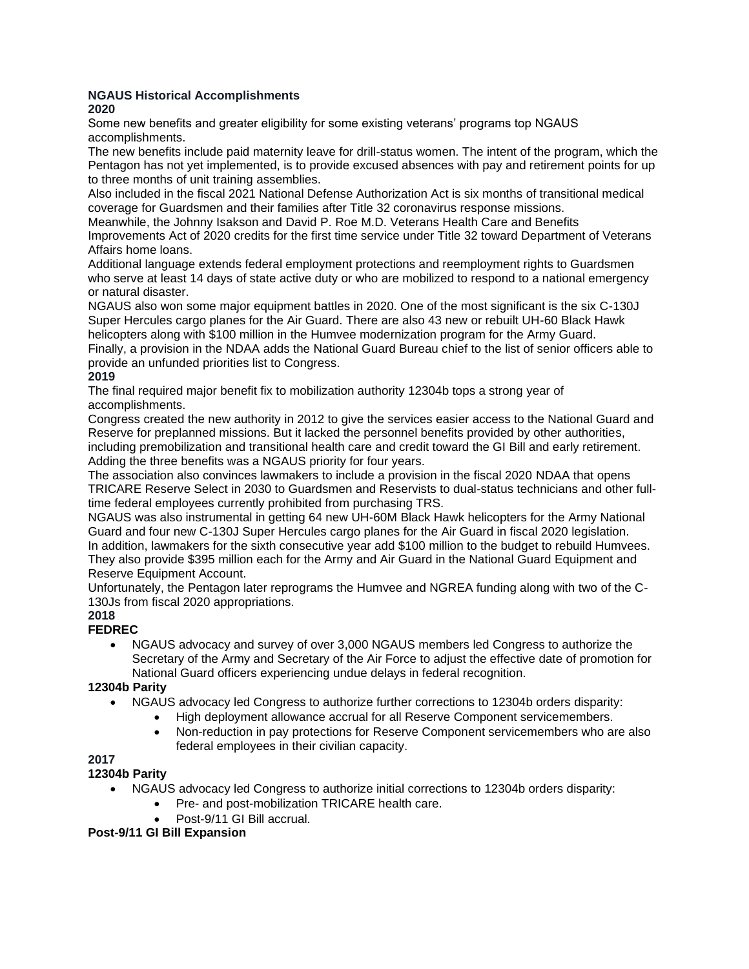# **NGAUS Historical Accomplishments**

**2020**

Some new benefits and greater eligibility for some existing veterans' programs top NGAUS accomplishments.

The new benefits include paid maternity leave for drill-status women. The intent of the program, which the Pentagon has not yet implemented, is to provide excused absences with pay and retirement points for up to three months of unit training assemblies.

Also included in the fiscal 2021 National Defense Authorization Act is six months of transitional medical coverage for Guardsmen and their families after Title 32 coronavirus response missions.

Meanwhile, the Johnny Isakson and David P. Roe M.D. Veterans Health Care and Benefits Improvements Act of 2020 credits for the first time service under Title 32 toward Department of Veterans Affairs home loans.

Additional language extends federal employment protections and reemployment rights to Guardsmen who serve at least 14 days of state active duty or who are mobilized to respond to a national emergency or natural disaster.

NGAUS also won some major equipment battles in 2020. One of the most significant is the six C-130J Super Hercules cargo planes for the Air Guard. There are also 43 new or rebuilt UH-60 Black Hawk helicopters along with \$100 million in the Humvee modernization program for the Army Guard.

Finally, a provision in the NDAA adds the National Guard Bureau chief to the list of senior officers able to provide an unfunded priorities list to Congress.

# **2019**

The final required major benefit fix to mobilization authority 12304b tops a strong year of accomplishments.

Congress created the new authority in 2012 to give the services easier access to the National Guard and Reserve for preplanned missions. But it lacked the personnel benefits provided by other authorities, including premobilization and transitional health care and credit toward the GI Bill and early retirement. Adding the three benefits was a NGAUS priority for four years.

The association also convinces lawmakers to include a provision in the fiscal 2020 NDAA that opens TRICARE Reserve Select in 2030 to Guardsmen and Reservists to dual-status technicians and other fulltime federal employees currently prohibited from purchasing TRS.

NGAUS was also instrumental in getting 64 new UH-60M Black Hawk helicopters for the Army National Guard and four new C-130J Super Hercules cargo planes for the Air Guard in fiscal 2020 legislation. In addition, lawmakers for the sixth consecutive year add \$100 million to the budget to rebuild Humvees. They also provide \$395 million each for the Army and Air Guard in the National Guard Equipment and Reserve Equipment Account.

Unfortunately, the Pentagon later reprograms the Humvee and NGREA funding along with two of the C-130Js from fiscal 2020 appropriations.

# **2018**

# **FEDREC**

• NGAUS advocacy and survey of over 3,000 NGAUS members led Congress to authorize the Secretary of the Army and Secretary of the Air Force to adjust the effective date of promotion for National Guard officers experiencing undue delays in federal recognition.

# **12304b Parity**

- NGAUS advocacy led Congress to authorize further corrections to 12304b orders disparity:
	- High deployment allowance accrual for all Reserve Component servicemembers.
	- Non-reduction in pay protections for Reserve Component servicemembers who are also federal employees in their civilian capacity.

# **2017**

# **12304b Parity**

- NGAUS advocacy led Congress to authorize initial corrections to 12304b orders disparity:
	- Pre- and post-mobilization TRICARE health care.
	- Post-9/11 GI Bill accrual.

# **Post-9/11 GI Bill Expansion**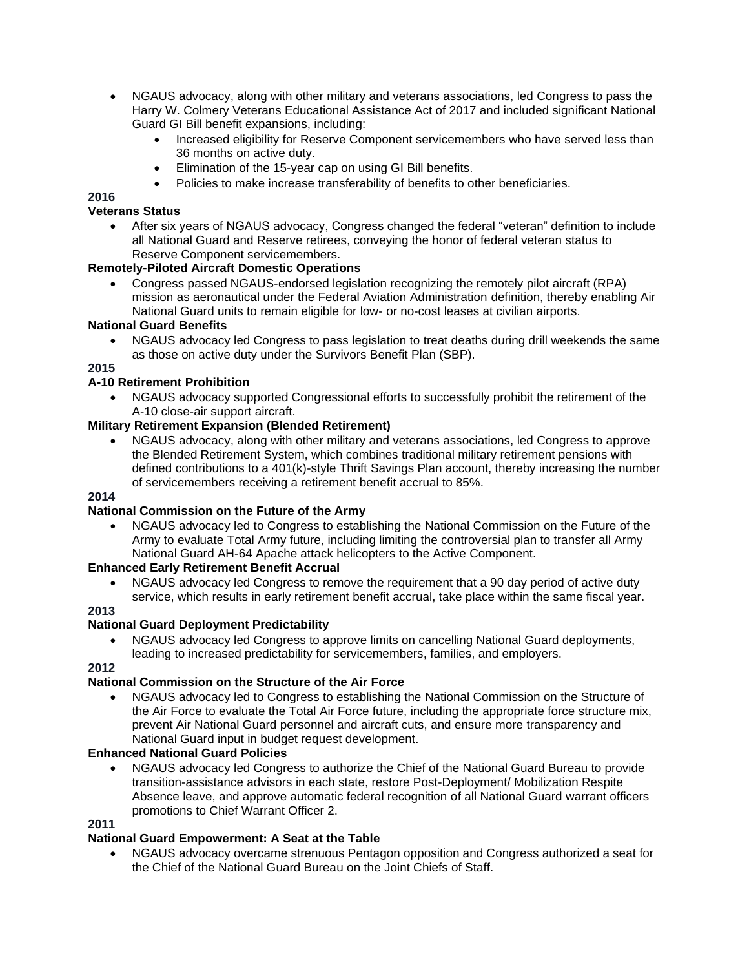- NGAUS advocacy, along with other military and veterans associations, led Congress to pass the Harry W. Colmery Veterans Educational Assistance Act of 2017 and included significant National Guard GI Bill benefit expansions, including:
	- Increased eligibility for Reserve Component servicemembers who have served less than 36 months on active duty.
	- Elimination of the 15-year cap on using GI Bill benefits.
	- Policies to make increase transferability of benefits to other beneficiaries.

# **Veterans Status**

• After six years of NGAUS advocacy, Congress changed the federal "veteran" definition to include all National Guard and Reserve retirees, conveying the honor of federal veteran status to Reserve Component servicemembers.

# **Remotely-Piloted Aircraft Domestic Operations**

• Congress passed NGAUS-endorsed legislation recognizing the remotely pilot aircraft (RPA) mission as aeronautical under the Federal Aviation Administration definition, thereby enabling Air National Guard units to remain eligible for low- or no-cost leases at civilian airports.

# **National Guard Benefits**

• NGAUS advocacy led Congress to pass legislation to treat deaths during drill weekends the same as those on active duty under the Survivors Benefit Plan (SBP).

# **2015**

# **A-10 Retirement Prohibition**

• NGAUS advocacy supported Congressional efforts to successfully prohibit the retirement of the A-10 close-air support aircraft.

# **Military Retirement Expansion (Blended Retirement)**

• NGAUS advocacy, along with other military and veterans associations, led Congress to approve the Blended Retirement System, which combines traditional military retirement pensions with defined contributions to a 401(k)-style Thrift Savings Plan account, thereby increasing the number of servicemembers receiving a retirement benefit accrual to 85%.

# **2014**

# **National Commission on the Future of the Army**

• NGAUS advocacy led to Congress to establishing the National Commission on the Future of the Army to evaluate Total Army future, including limiting the controversial plan to transfer all Army National Guard AH-64 Apache attack helicopters to the Active Component.

# **Enhanced Early Retirement Benefit Accrual**

• NGAUS advocacy led Congress to remove the requirement that a 90 day period of active duty service, which results in early retirement benefit accrual, take place within the same fiscal year.

# **2013**

# **National Guard Deployment Predictability**

• NGAUS advocacy led Congress to approve limits on cancelling National Guard deployments, leading to increased predictability for servicemembers, families, and employers.

# **2012**

# **National Commission on the Structure of the Air Force**

• NGAUS advocacy led to Congress to establishing the National Commission on the Structure of the Air Force to evaluate the Total Air Force future, including the appropriate force structure mix, prevent Air National Guard personnel and aircraft cuts, and ensure more transparency and National Guard input in budget request development.

# **Enhanced National Guard Policies**

• NGAUS advocacy led Congress to authorize the Chief of the National Guard Bureau to provide transition-assistance advisors in each state, restore Post-Deployment/ Mobilization Respite Absence leave, and approve automatic federal recognition of all National Guard warrant officers promotions to Chief Warrant Officer 2.

#### **2011**

# **National Guard Empowerment: A Seat at the Table**

• NGAUS advocacy overcame strenuous Pentagon opposition and Congress authorized a seat for the Chief of the National Guard Bureau on the Joint Chiefs of Staff.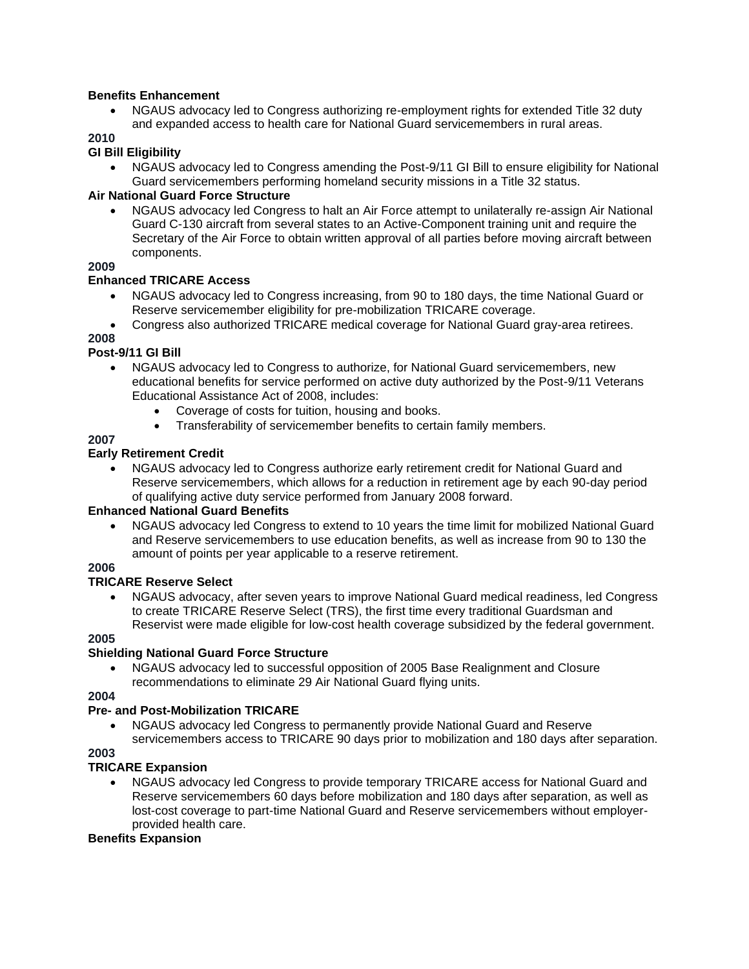#### **Benefits Enhancement**

• NGAUS advocacy led to Congress authorizing re-employment rights for extended Title 32 duty and expanded access to health care for National Guard servicemembers in rural areas.

**2010**

#### **GI Bill Eligibility**

• NGAUS advocacy led to Congress amending the Post-9/11 GI Bill to ensure eligibility for National Guard servicemembers performing homeland security missions in a Title 32 status.

#### **Air National Guard Force Structure**

• NGAUS advocacy led Congress to halt an Air Force attempt to unilaterally re-assign Air National Guard C-130 aircraft from several states to an Active-Component training unit and require the Secretary of the Air Force to obtain written approval of all parties before moving aircraft between components.

### **2009**

#### **Enhanced TRICARE Access**

- NGAUS advocacy led to Congress increasing, from 90 to 180 days, the time National Guard or Reserve servicemember eligibility for pre-mobilization TRICARE coverage.
- Congress also authorized TRICARE medical coverage for National Guard gray-area retirees.

#### **2008**

# **Post-9/11 GI Bill**

- NGAUS advocacy led to Congress to authorize, for National Guard servicemembers, new educational benefits for service performed on active duty authorized by the Post-9/11 Veterans Educational Assistance Act of 2008, includes:
	- Coverage of costs for tuition, housing and books.
	- Transferability of servicemember benefits to certain family members.

#### **2007**

#### **Early Retirement Credit**

• NGAUS advocacy led to Congress authorize early retirement credit for National Guard and Reserve servicemembers, which allows for a reduction in retirement age by each 90-day period of qualifying active duty service performed from January 2008 forward.

#### **Enhanced National Guard Benefits**

• NGAUS advocacy led Congress to extend to 10 years the time limit for mobilized National Guard and Reserve servicemembers to use education benefits, as well as increase from 90 to 130 the amount of points per year applicable to a reserve retirement.

# **2006**

#### **TRICARE Reserve Select**

• NGAUS advocacy, after seven years to improve National Guard medical readiness, led Congress to create TRICARE Reserve Select (TRS), the first time every traditional Guardsman and Reservist were made eligible for low-cost health coverage subsidized by the federal government.

#### **2005**

# **Shielding National Guard Force Structure**

• NGAUS advocacy led to successful opposition of 2005 Base Realignment and Closure recommendations to eliminate 29 Air National Guard flying units.

### **2004**

# **Pre- and Post-Mobilization TRICARE**

• NGAUS advocacy led Congress to permanently provide National Guard and Reserve servicemembers access to TRICARE 90 days prior to mobilization and 180 days after separation.

### **2003**

# **TRICARE Expansion**

• NGAUS advocacy led Congress to provide temporary TRICARE access for National Guard and Reserve servicemembers 60 days before mobilization and 180 days after separation, as well as lost-cost coverage to part-time National Guard and Reserve servicemembers without employerprovided health care.

#### **Benefits Expansion**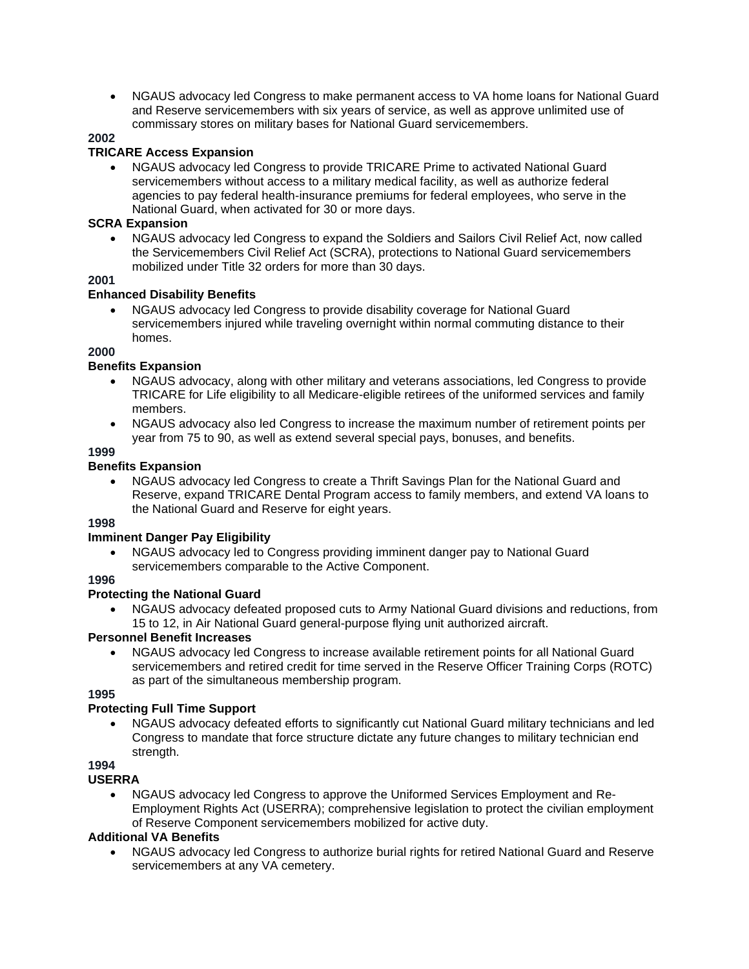• NGAUS advocacy led Congress to make permanent access to VA home loans for National Guard and Reserve servicemembers with six years of service, as well as approve unlimited use of commissary stores on military bases for National Guard servicemembers.

# **2002**

# **TRICARE Access Expansion**

• NGAUS advocacy led Congress to provide TRICARE Prime to activated National Guard servicemembers without access to a military medical facility, as well as authorize federal agencies to pay federal health-insurance premiums for federal employees, who serve in the National Guard, when activated for 30 or more days.

#### **SCRA Expansion**

• NGAUS advocacy led Congress to expand the Soldiers and Sailors Civil Relief Act, now called the Servicemembers Civil Relief Act (SCRA), protections to National Guard servicemembers mobilized under Title 32 orders for more than 30 days.

# **2001**

#### **Enhanced Disability Benefits**

• NGAUS advocacy led Congress to provide disability coverage for National Guard servicemembers injured while traveling overnight within normal commuting distance to their homes.

### **2000**

# **Benefits Expansion**

- NGAUS advocacy, along with other military and veterans associations, led Congress to provide TRICARE for Life eligibility to all Medicare-eligible retirees of the uniformed services and family members.
- NGAUS advocacy also led Congress to increase the maximum number of retirement points per year from 75 to 90, as well as extend several special pays, bonuses, and benefits.

# **1999**

# **Benefits Expansion**

• NGAUS advocacy led Congress to create a Thrift Savings Plan for the National Guard and Reserve, expand TRICARE Dental Program access to family members, and extend VA loans to the National Guard and Reserve for eight years.

# **1998**

# **Imminent Danger Pay Eligibility**

• NGAUS advocacy led to Congress providing imminent danger pay to National Guard servicemembers comparable to the Active Component.

# **1996**

# **Protecting the National Guard**

• NGAUS advocacy defeated proposed cuts to Army National Guard divisions and reductions, from 15 to 12, in Air National Guard general-purpose flying unit authorized aircraft.

# **Personnel Benefit Increases**

• NGAUS advocacy led Congress to increase available retirement points for all National Guard servicemembers and retired credit for time served in the Reserve Officer Training Corps (ROTC) as part of the simultaneous membership program.

#### **1995**

# **Protecting Full Time Support**

- NGAUS advocacy defeated efforts to significantly cut National Guard military technicians and led Congress to mandate that force structure dictate any future changes to military technician end strength.
- **1994**

# **USERRA**

• NGAUS advocacy led Congress to approve the Uniformed Services Employment and Re-Employment Rights Act (USERRA); comprehensive legislation to protect the civilian employment of Reserve Component servicemembers mobilized for active duty.

# **Additional VA Benefits**

• NGAUS advocacy led Congress to authorize burial rights for retired National Guard and Reserve servicemembers at any VA cemetery.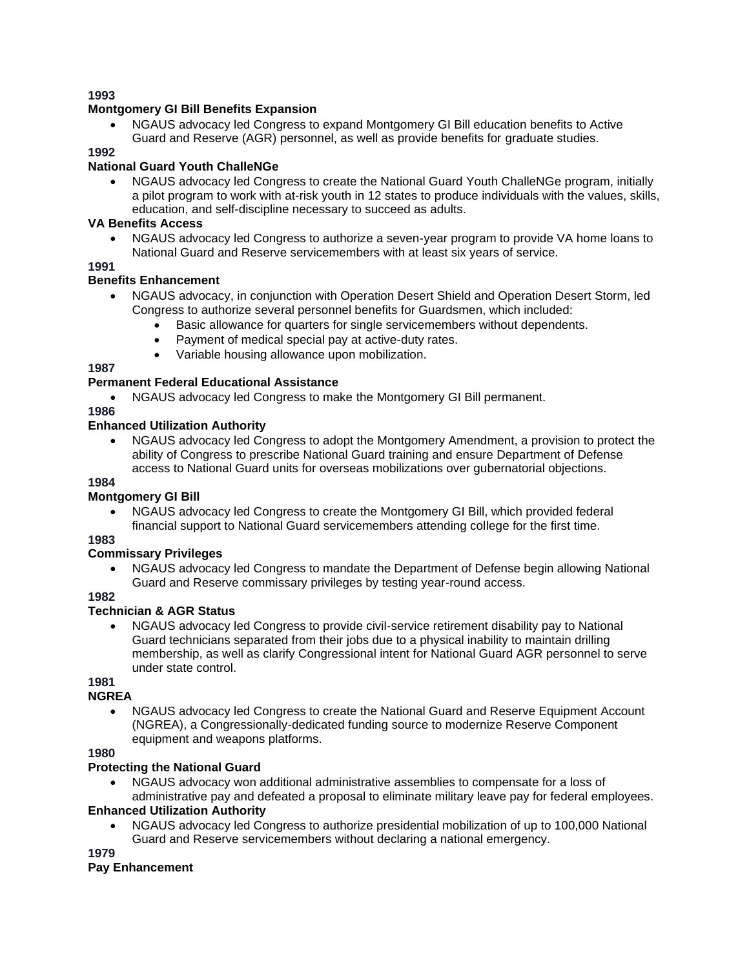### **Montgomery GI Bill Benefits Expansion**

• NGAUS advocacy led Congress to expand Montgomery GI Bill education benefits to Active Guard and Reserve (AGR) personnel, as well as provide benefits for graduate studies.

### **1992**

# **National Guard Youth ChalleNGe**

• NGAUS advocacy led Congress to create the National Guard Youth ChalleNGe program, initially a pilot program to work with at-risk youth in 12 states to produce individuals with the values, skills, education, and self-discipline necessary to succeed as adults.

### **VA Benefits Access**

• NGAUS advocacy led Congress to authorize a seven-year program to provide VA home loans to National Guard and Reserve servicemembers with at least six years of service.

# **1991**

# **Benefits Enhancement**

- NGAUS advocacy, in conjunction with Operation Desert Shield and Operation Desert Storm, led Congress to authorize several personnel benefits for Guardsmen, which included:
	- Basic allowance for quarters for single servicemembers without dependents.
	- Payment of medical special pay at active-duty rates.
	- Variable housing allowance upon mobilization.

#### **1987**

# **Permanent Federal Educational Assistance**

• NGAUS advocacy led Congress to make the Montgomery GI Bill permanent.

#### **1986**

# **Enhanced Utilization Authority**

• NGAUS advocacy led Congress to adopt the Montgomery Amendment, a provision to protect the ability of Congress to prescribe National Guard training and ensure Department of Defense access to National Guard units for overseas mobilizations over gubernatorial objections.

### **1984**

# **Montgomery GI Bill**

• NGAUS advocacy led Congress to create the Montgomery GI Bill, which provided federal financial support to National Guard servicemembers attending college for the first time.

# **1983**

# **Commissary Privileges**

• NGAUS advocacy led Congress to mandate the Department of Defense begin allowing National Guard and Reserve commissary privileges by testing year-round access.

# **1982**

# **Technician & AGR Status**

• NGAUS advocacy led Congress to provide civil-service retirement disability pay to National Guard technicians separated from their jobs due to a physical inability to maintain drilling membership, as well as clarify Congressional intent for National Guard AGR personnel to serve under state control.

**1981**

# **NGREA**

• NGAUS advocacy led Congress to create the National Guard and Reserve Equipment Account (NGREA), a Congressionally-dedicated funding source to modernize Reserve Component equipment and weapons platforms.

# **1980**

# **Protecting the National Guard**

• NGAUS advocacy won additional administrative assemblies to compensate for a loss of administrative pay and defeated a proposal to eliminate military leave pay for federal employees.

# **Enhanced Utilization Authority**

• NGAUS advocacy led Congress to authorize presidential mobilization of up to 100,000 National Guard and Reserve servicemembers without declaring a national emergency.

**1979**

#### **Pay Enhancement**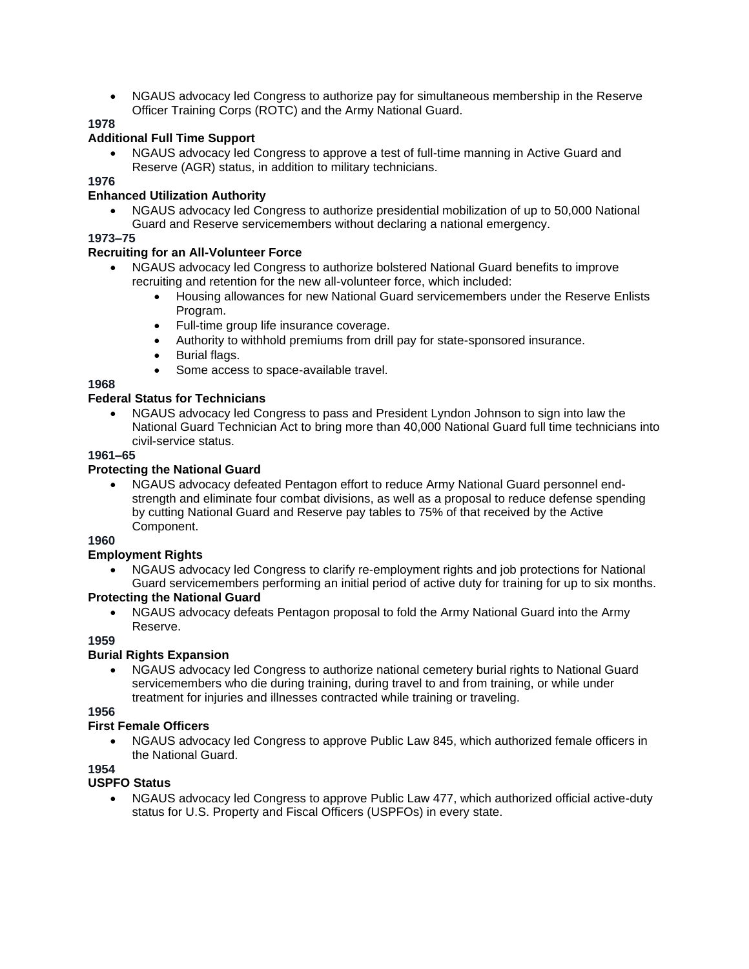• NGAUS advocacy led Congress to authorize pay for simultaneous membership in the Reserve Officer Training Corps (ROTC) and the Army National Guard.

# **1978**

# **Additional Full Time Support**

• NGAUS advocacy led Congress to approve a test of full-time manning in Active Guard and Reserve (AGR) status, in addition to military technicians.

# **1976**

# **Enhanced Utilization Authority**

• NGAUS advocacy led Congress to authorize presidential mobilization of up to 50,000 National Guard and Reserve servicemembers without declaring a national emergency.

# **1973–75**

# **Recruiting for an All-Volunteer Force**

- NGAUS advocacy led Congress to authorize bolstered National Guard benefits to improve recruiting and retention for the new all-volunteer force, which included:
	- Housing allowances for new National Guard servicemembers under the Reserve Enlists Program.
	- Full-time group life insurance coverage.
	- Authority to withhold premiums from drill pay for state-sponsored insurance.
	- Burial flags.
	- Some access to space-available travel.

# **1968**

# **Federal Status for Technicians**

• NGAUS advocacy led Congress to pass and President Lyndon Johnson to sign into law the National Guard Technician Act to bring more than 40,000 National Guard full time technicians into civil-service status.

# **1961–65**

# **Protecting the National Guard**

• NGAUS advocacy defeated Pentagon effort to reduce Army National Guard personnel endstrength and eliminate four combat divisions, as well as a proposal to reduce defense spending by cutting National Guard and Reserve pay tables to 75% of that received by the Active Component.

# **1960**

# **Employment Rights**

• NGAUS advocacy led Congress to clarify re-employment rights and job protections for National Guard servicemembers performing an initial period of active duty for training for up to six months.

# **Protecting the National Guard**

• NGAUS advocacy defeats Pentagon proposal to fold the Army National Guard into the Army Reserve.

# **1959**

# **Burial Rights Expansion**

• NGAUS advocacy led Congress to authorize national cemetery burial rights to National Guard servicemembers who die during training, during travel to and from training, or while under treatment for injuries and illnesses contracted while training or traveling.

**1956**

# **First Female Officers**

• NGAUS advocacy led Congress to approve Public Law 845, which authorized female officers in the National Guard.

# **1954**

# **USPFO Status**

• NGAUS advocacy led Congress to approve Public Law 477, which authorized official active-duty status for U.S. Property and Fiscal Officers (USPFOs) in every state.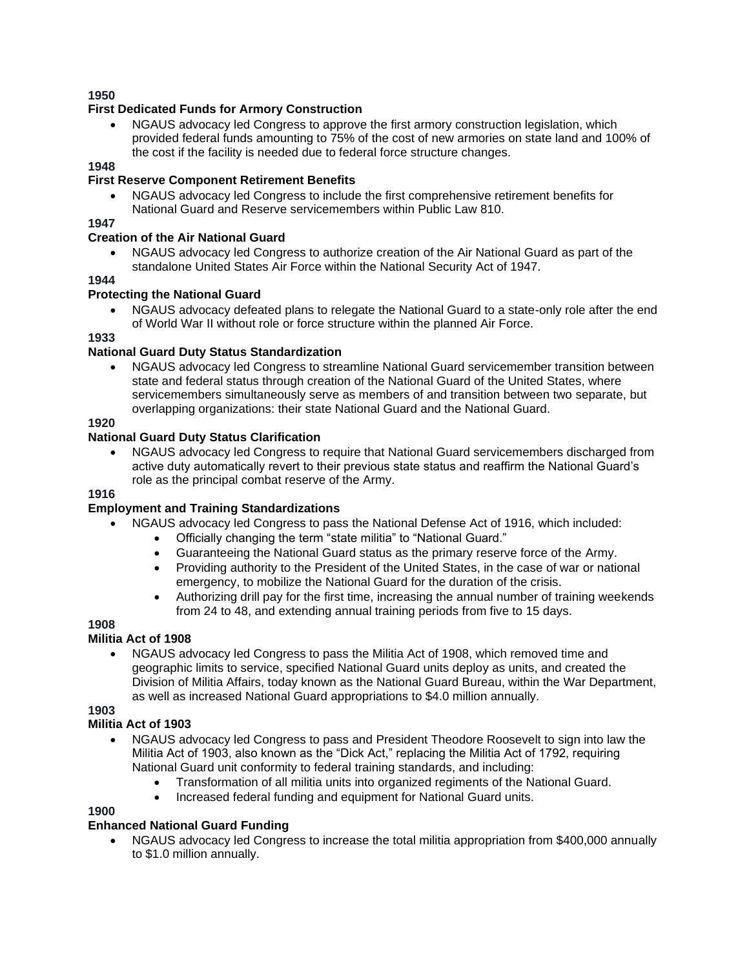# **First Dedicated Funds for Armory Construction**

• NGAUS advocacy led Congress to approve the first armory construction legislation, which provided federal funds amounting to 75% of the cost of new armories on state land and 100% of the cost if the facility is needed due to federal force structure changes.

# **1948**

# **First Reserve Component Retirement Benefits**

• NGAUS advocacy led Congress to include the first comprehensive retirement benefits for National Guard and Reserve servicemembers within Public Law 810.

# **1947**

### **Creation of the Air National Guard**

• NGAUS advocacy led Congress to authorize creation of the Air National Guard as part of the standalone United States Air Force within the National Security Act of 1947.

# **1944**

#### **Protecting the National Guard**

• NGAUS advocacy defeated plans to relegate the National Guard to a state-only role after the end of World War II without role or force structure within the planned Air Force.

#### **1933**

# **National Guard Duty Status Standardization**

• NGAUS advocacy led Congress to streamline National Guard servicemember transition between state and federal status through creation of the National Guard of the United States, where servicemembers simultaneously serve as members of and transition between two separate, but overlapping organizations: their state National Guard and the National Guard.

# **1920**

#### **National Guard Duty Status Clarification**

• NGAUS advocacy led Congress to require that National Guard servicemembers discharged from active duty automatically revert to their previous state status and reaffirm the National Guard's role as the principal combat reserve of the Army.

#### **1916**

# **Employment and Training Standardizations**

- NGAUS advocacy led Congress to pass the National Defense Act of 1916, which included:
	- Officially changing the term "state militia" to "National Guard."
	- Guaranteeing the National Guard status as the primary reserve force of the Army.
	- Providing authority to the President of the United States, in the case of war or national emergency, to mobilize the National Guard for the duration of the crisis.
	- Authorizing drill pay for the first time, increasing the annual number of training weekends from 24 to 48, and extending annual training periods from five to 15 days.

# **1908**

# **Militia Act of 1908**

• NGAUS advocacy led Congress to pass the Militia Act of 1908, which removed time and geographic limits to service, specified National Guard units deploy as units, and created the Division of Militia Affairs, today known as the National Guard Bureau, within the War Department, as well as increased National Guard appropriations to \$4.0 million annually.

**1903**

### **Militia Act of 1903**

- NGAUS advocacy led Congress to pass and President Theodore Roosevelt to sign into law the Militia Act of 1903, also known as the "Dick Act," replacing the Militia Act of 1792, requiring National Guard unit conformity to federal training standards, and including:
	- Transformation of all militia units into organized regiments of the National Guard.
	- Increased federal funding and equipment for National Guard units.

# **1900**

# **Enhanced National Guard Funding**

• NGAUS advocacy led Congress to increase the total militia appropriation from \$400,000 annually to \$1.0 million annually.